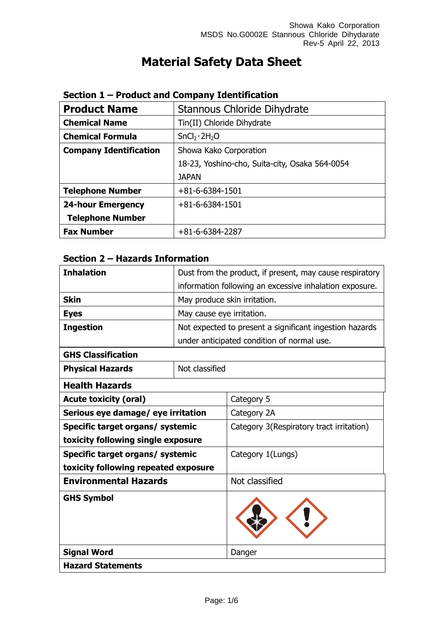# **Material Safety Data Sheet**

| <b>Product Name</b>           | Stannous Chloride Dihydrate                    |
|-------------------------------|------------------------------------------------|
| <b>Chemical Name</b>          | Tin(II) Chloride Dihydrate                     |
| <b>Chemical Formula</b>       | SnCl <sub>2</sub> ·2H <sub>2</sub> O           |
| <b>Company Identification</b> | Showa Kako Corporation                         |
|                               | 18-23, Yoshino-cho, Suita-city, Osaka 564-0054 |
|                               | <b>JAPAN</b>                                   |
| <b>Telephone Number</b>       | $+81 - 6 - 6384 - 1501$                        |
| <b>24-hour Emergency</b>      | $+81 - 6 - 6384 - 1501$                        |
| <b>Telephone Number</b>       |                                                |
| <b>Fax Number</b>             | +81-6-6384-2287                                |

#### **Section 1 – Product and Company Identification**

### **Section 2 – Hazards Information**

| <b>Inhalation</b>                         |                              | Dust from the product, if present, may cause respiratory |
|-------------------------------------------|------------------------------|----------------------------------------------------------|
|                                           |                              | information following an excessive inhalation exposure.  |
| <b>Skin</b>                               | May produce skin irritation. |                                                          |
| <b>Eyes</b>                               | May cause eye irritation.    |                                                          |
| <b>Ingestion</b>                          |                              | Not expected to present a significant ingestion hazards  |
|                                           |                              | under anticipated condition of normal use.               |
| <b>GHS Classification</b>                 |                              |                                                          |
| Not classified<br><b>Physical Hazards</b> |                              |                                                          |
| <b>Health Hazards</b>                     |                              |                                                          |
| <b>Acute toxicity (oral)</b>              |                              | Category 5                                               |
| Serious eye damage/ eye irritation        |                              | Category 2A                                              |
| Specific target organs/ systemic          |                              | Category 3(Respiratory tract irritation)                 |
| toxicity following single exposure        |                              |                                                          |
| Specific target organs/ systemic          |                              | Category 1(Lungs)                                        |
| toxicity following repeated exposure      |                              |                                                          |
| <b>Environmental Hazards</b>              |                              | Not classified                                           |
| <b>GHS Symbol</b>                         |                              |                                                          |
| <b>Signal Word</b>                        |                              | Danger                                                   |
| <b>Hazard Statements</b>                  |                              |                                                          |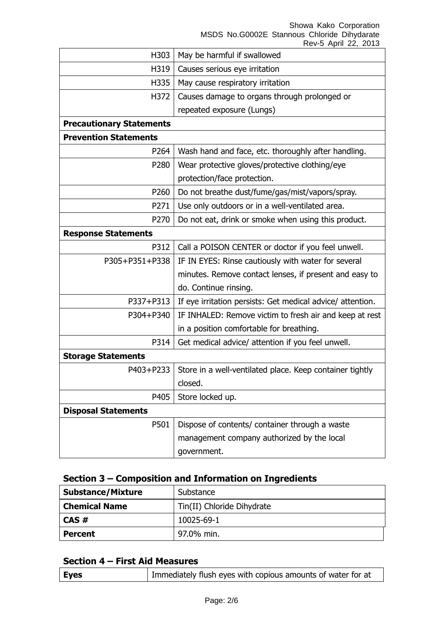Showa Kako Corporation

MSDS No.G0002E Stannous Chloride Dihydarate

|                                 | Rev-5 April 22, 2013                                       |  |
|---------------------------------|------------------------------------------------------------|--|
| H303                            | May be harmful if swallowed                                |  |
| H319                            | Causes serious eye irritation                              |  |
| H335                            | May cause respiratory irritation                           |  |
| H372                            | Causes damage to organs through prolonged or               |  |
|                                 | repeated exposure (Lungs)                                  |  |
| <b>Precautionary Statements</b> |                                                            |  |
| <b>Prevention Statements</b>    |                                                            |  |
| P264                            | Wash hand and face, etc. thoroughly after handling.        |  |
| P280                            | Wear protective gloves/protective clothing/eye             |  |
|                                 | protection/face protection.                                |  |
| P260                            | Do not breathe dust/fume/gas/mist/vapors/spray.            |  |
| P271                            | Use only outdoors or in a well-ventilated area.            |  |
| P270                            | Do not eat, drink or smoke when using this product.        |  |
| <b>Response Statements</b>      |                                                            |  |
| P312                            | Call a POISON CENTER or doctor if you feel unwell.         |  |
| P305+P351+P338                  | IF IN EYES: Rinse cautiously with water for several        |  |
|                                 | minutes. Remove contact lenses, if present and easy to     |  |
|                                 | do. Continue rinsing.                                      |  |
| P337+P313                       | If eye irritation persists: Get medical advice/ attention. |  |
| P304+P340                       | IF INHALED: Remove victim to fresh air and keep at rest    |  |
|                                 | in a position comfortable for breathing.                   |  |
| P314                            | Get medical advice/ attention if you feel unwell.          |  |
| <b>Storage Statements</b>       |                                                            |  |
| P403+P233                       | Store in a well-ventilated place. Keep container tightly   |  |
|                                 | closed.                                                    |  |
| P405                            | Store locked up.                                           |  |
| <b>Disposal Statements</b>      |                                                            |  |
| P501                            | Dispose of contents/ container through a waste             |  |
|                                 | management company authorized by the local                 |  |
|                                 | government.                                                |  |
|                                 |                                                            |  |

# **Section 3 – Composition and Information on Ingredients**

| <b>Substance/Mixture</b> | Substance                  |
|--------------------------|----------------------------|
| <b>Chemical Name</b>     | Tin(II) Chloride Dihydrate |
| $CAS \#$                 | 10025-69-1                 |
| <b>Percent</b>           | 97.0% min.                 |

### **Section 4 – First Aid Measures**

| <b>Eyes</b> | Immediately flush eyes with copious amounts of water for at |
|-------------|-------------------------------------------------------------|
|-------------|-------------------------------------------------------------|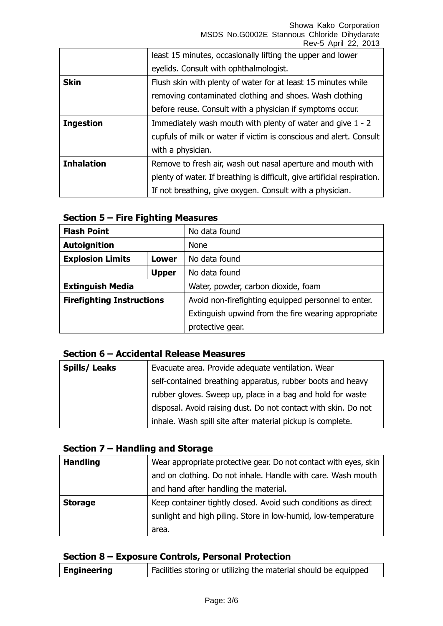Showa Kako Corporation MSDS No.G0002E Stannous Chloride Dihydarate Rev-5 April 22, 2013

|                   | least 15 minutes, occasionally lifting the upper and lower               |
|-------------------|--------------------------------------------------------------------------|
|                   | eyelids. Consult with ophthalmologist.                                   |
| <b>Skin</b>       | Flush skin with plenty of water for at least 15 minutes while            |
|                   | removing contaminated clothing and shoes. Wash clothing                  |
|                   | before reuse. Consult with a physician if symptoms occur.                |
| <b>Ingestion</b>  | Immediately wash mouth with plenty of water and give 1 - 2               |
|                   | cupfuls of milk or water if victim is conscious and alert. Consult       |
|                   | with a physician.                                                        |
| <b>Inhalation</b> | Remove to fresh air, wash out nasal aperture and mouth with              |
|                   | plenty of water. If breathing is difficult, give artificial respiration. |
|                   | If not breathing, give oxygen. Consult with a physician.                 |

### **Section 5 – Fire Fighting Measures**

| <b>Flash Point</b>               |              | No data found                                       |
|----------------------------------|--------------|-----------------------------------------------------|
| <b>Autoignition</b>              |              | <b>None</b>                                         |
| <b>Explosion Limits</b>          | Lower        | No data found                                       |
|                                  | <b>Upper</b> | No data found                                       |
| <b>Extinguish Media</b>          |              | Water, powder, carbon dioxide, foam                 |
| <b>Firefighting Instructions</b> |              | Avoid non-firefighting equipped personnel to enter. |
|                                  |              | Extinguish upwind from the fire wearing appropriate |
|                                  |              | protective gear.                                    |

### **Section 6 – Accidental Release Measures**

| <b>Spills/Leaks</b> | Evacuate area. Provide adequate ventilation. Wear              |
|---------------------|----------------------------------------------------------------|
|                     | self-contained breathing apparatus, rubber boots and heavy     |
|                     | rubber gloves. Sweep up, place in a bag and hold for waste     |
|                     | disposal. Avoid raising dust. Do not contact with skin. Do not |
|                     | inhale. Wash spill site after material pickup is complete.     |

# **Section 7 – Handling and Storage**

| <b>Handling</b> | Wear appropriate protective gear. Do not contact with eyes, skin |
|-----------------|------------------------------------------------------------------|
|                 | and on clothing. Do not inhale. Handle with care. Wash mouth     |
|                 | and hand after handling the material.                            |
| <b>Storage</b>  | Keep container tightly closed. Avoid such conditions as direct   |
|                 | sunlight and high piling. Store in low-humid, low-temperature    |
|                 | area.                                                            |

#### **Section 8 – Exposure Controls, Personal Protection**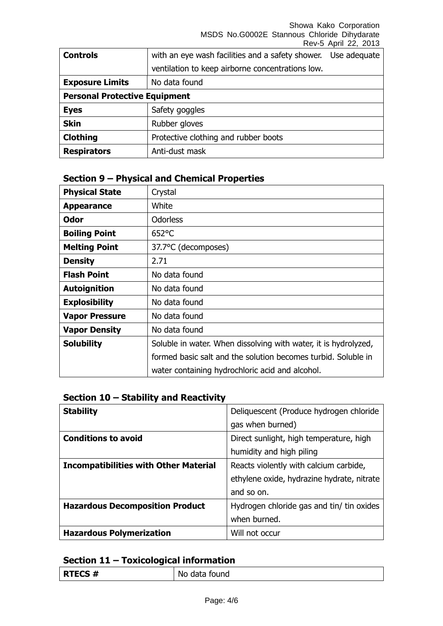Showa Kako Corporation MSDS No.G0002E Stannous Chloride Dihydarate Rev-5 April 22, 2013

| <b>Controls</b>                      | with an eye wash facilities and a safety shower. | Use adequate |
|--------------------------------------|--------------------------------------------------|--------------|
|                                      | ventilation to keep airborne concentrations low. |              |
| <b>Exposure Limits</b>               | No data found                                    |              |
| <b>Personal Protective Equipment</b> |                                                  |              |
| <b>Eyes</b>                          | Safety goggles                                   |              |
| <b>Skin</b>                          | Rubber gloves                                    |              |
| <b>Clothing</b>                      | Protective clothing and rubber boots             |              |
| <b>Respirators</b>                   | Anti-dust mask                                   |              |

# **Section 9 – Physical and Chemical Properties**

| <b>Physical State</b> | Crystal                                                         |
|-----------------------|-----------------------------------------------------------------|
| <b>Appearance</b>     | White                                                           |
| Odor                  | <b>Odorless</b>                                                 |
| <b>Boiling Point</b>  | $652$ °C                                                        |
| <b>Melting Point</b>  | 37.7°C (decomposes)                                             |
| <b>Density</b>        | 2.71                                                            |
| <b>Flash Point</b>    | No data found                                                   |
| <b>Autoignition</b>   | No data found                                                   |
| <b>Explosibility</b>  | No data found                                                   |
| <b>Vapor Pressure</b> | No data found                                                   |
| <b>Vapor Density</b>  | No data found                                                   |
| <b>Solubility</b>     | Soluble in water. When dissolving with water, it is hydrolyzed, |
|                       | formed basic salt and the solution becomes turbid. Soluble in   |
|                       | water containing hydrochloric acid and alcohol.                 |

# **Section 10 – Stability and Reactivity**

| <b>Stability</b>                             | Deliquescent (Produce hydrogen chloride    |
|----------------------------------------------|--------------------------------------------|
|                                              | gas when burned)                           |
| <b>Conditions to avoid</b>                   | Direct sunlight, high temperature, high    |
|                                              | humidity and high piling                   |
| <b>Incompatibilities with Other Material</b> | Reacts violently with calcium carbide,     |
|                                              | ethylene oxide, hydrazine hydrate, nitrate |
|                                              | and so on.                                 |
| <b>Hazardous Decomposition Product</b>       | Hydrogen chloride gas and tin/ tin oxides  |
|                                              | when burned.                               |
| <b>Hazardous Polymerization</b>              | Will not occur                             |

# **Section 11 – Toxicological information**

| <b>RTECS#</b> | No data found |
|---------------|---------------|
|---------------|---------------|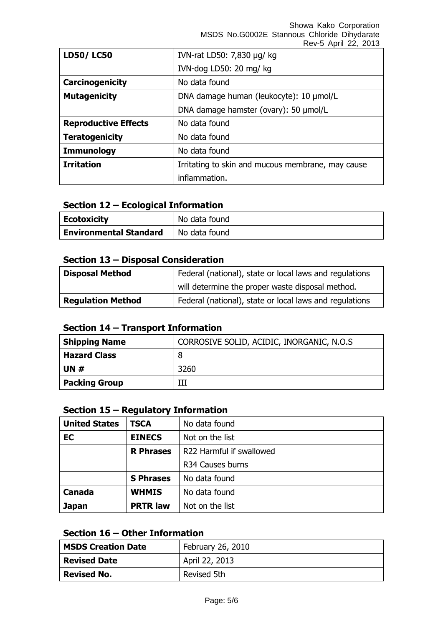Showa Kako Corporation MSDS No.G0002E Stannous Chloride Dihydarate

|                             | Rev-5 April 22, 2013                              |
|-----------------------------|---------------------------------------------------|
| <b>LD50/LC50</b>            | IVN-rat LD50: 7,830 µg/ kg                        |
|                             | IVN-dog LD50: 20 mg/ kg                           |
| Carcinogenicity             | No data found                                     |
| <b>Mutagenicity</b>         | DNA damage human (leukocyte): 10 µmol/L           |
|                             | DNA damage hamster (ovary): 50 µmol/L             |
| <b>Reproductive Effects</b> | No data found                                     |
| <b>Teratogenicity</b>       | No data found                                     |
| <b>Immunology</b>           | No data found                                     |
| <b>Irritation</b>           | Irritating to skin and mucous membrane, may cause |
|                             | inflammation.                                     |

#### **Section 12 – Ecological Information**

| <b>Ecotoxicity</b>            | No data found |
|-------------------------------|---------------|
| <b>Environmental Standard</b> | No data found |

### **Section 13 – Disposal Consideration**

| <b>Disposal Method</b>   | Federal (national), state or local laws and regulations |  |
|--------------------------|---------------------------------------------------------|--|
|                          | will determine the proper waste disposal method.        |  |
| <b>Regulation Method</b> | Federal (national), state or local laws and regulations |  |

### **Section 14 – Transport Information**

| <b>Shipping Name</b> | CORROSIVE SOLID, ACIDIC, INORGANIC, N.O.S |
|----------------------|-------------------------------------------|
| <b>Hazard Class</b>  |                                           |
| UN $#$               | 3260                                      |
| <b>Packing Group</b> |                                           |

### **Section 15 – Regulatory Information**

| <b>United States</b> | <b>TSCA</b>      | No data found            |
|----------------------|------------------|--------------------------|
| EC                   | <b>EINECS</b>    | Not on the list          |
|                      | <b>R</b> Phrases | R22 Harmful if swallowed |
|                      |                  | R34 Causes burns         |
|                      | <b>S Phrases</b> | No data found            |
| <b>Canada</b>        | <b>WHMIS</b>     | No data found            |
| <b>Japan</b>         | <b>PRTR law</b>  | Not on the list          |

### **Section 16 – Other Information**

| <b>MSDS Creation Date</b> | February 26, 2010 |
|---------------------------|-------------------|
| <b>Revised Date</b>       | April 22, 2013    |
| <b>Revised No.</b>        | Revised 5th       |